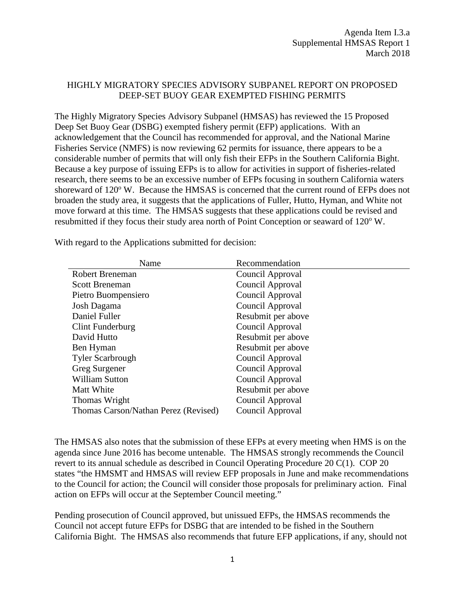## HIGHLY MIGRATORY SPECIES ADVISORY SUBPANEL REPORT ON PROPOSED DEEP-SET BUOY GEAR EXEMPTED FISHING PERMITS

The Highly Migratory Species Advisory Subpanel (HMSAS) has reviewed the 15 Proposed Deep Set Buoy Gear (DSBG) exempted fishery permit (EFP) applications. With an acknowledgement that the Council has recommended for approval, and the National Marine Fisheries Service (NMFS) is now reviewing 62 permits for issuance, there appears to be a considerable number of permits that will only fish their EFPs in the Southern California Bight. Because a key purpose of issuing EFPs is to allow for activities in support of fisheries-related research, there seems to be an excessive number of EFPs focusing in southern California waters shoreward of 120<sup>o</sup> W. Because the HMSAS is concerned that the current round of EFPs does not broaden the study area, it suggests that the applications of Fuller, Hutto, Hyman, and White not move forward at this time. The HMSAS suggests that these applications could be revised and resubmitted if they focus their study area north of Point Conception or seaward of 120°W.

| Name                                 | Recommendation     |
|--------------------------------------|--------------------|
| Robert Breneman                      | Council Approval   |
| <b>Scott Breneman</b>                | Council Approval   |
| Pietro Buompensiero                  | Council Approval   |
| Josh Dagama                          | Council Approval   |
| Daniel Fuller                        | Resubmit per above |
| Clint Funderburg                     | Council Approval   |
| David Hutto                          | Resubmit per above |
| Ben Hyman                            | Resubmit per above |
| <b>Tyler Scarbrough</b>              | Council Approval   |
| Greg Surgener                        | Council Approval   |
| <b>William Sutton</b>                | Council Approval   |
| Matt White                           | Resubmit per above |
| Thomas Wright                        | Council Approval   |
| Thomas Carson/Nathan Perez (Revised) | Council Approval   |

With regard to the Applications submitted for decision:

The HMSAS also notes that the submission of these EFPs at every meeting when HMS is on the agenda since June 2016 has become untenable. The HMSAS strongly recommends the Council revert to its annual schedule as described in Council Operating Procedure 20 C(1). COP 20 states "the HMSMT and HMSAS will review EFP proposals in June and make recommendations to the Council for action; the Council will consider those proposals for preliminary action. Final action on EFPs will occur at the September Council meeting."

Pending prosecution of Council approved, but unissued EFPs, the HMSAS recommends the Council not accept future EFPs for DSBG that are intended to be fished in the Southern California Bight. The HMSAS also recommends that future EFP applications, if any, should not